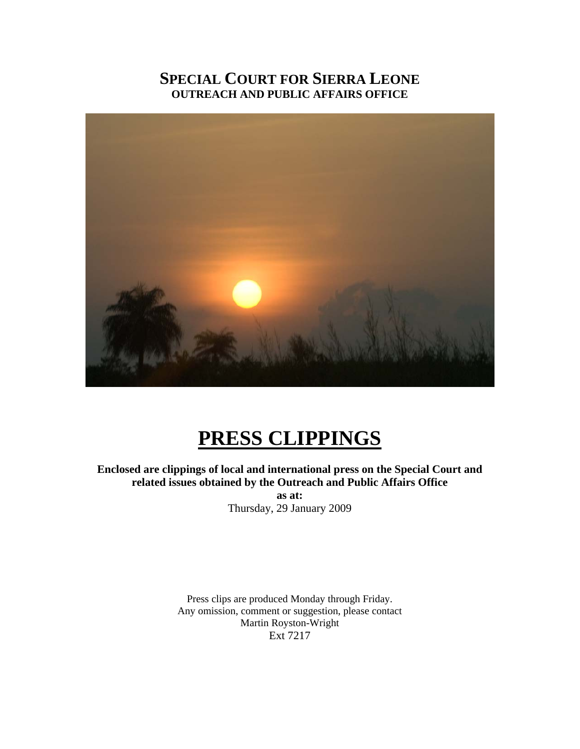# **SPECIAL COURT FOR SIERRA LEONE OUTREACH AND PUBLIC AFFAIRS OFFICE**



# **PRESS CLIPPINGS**

# **Enclosed are clippings of local and international press on the Special Court and related issues obtained by the Outreach and Public Affairs Office**

**as at:**  Thursday, 29 January 2009

Press clips are produced Monday through Friday. Any omission, comment or suggestion, please contact Martin Royston-Wright Ext 7217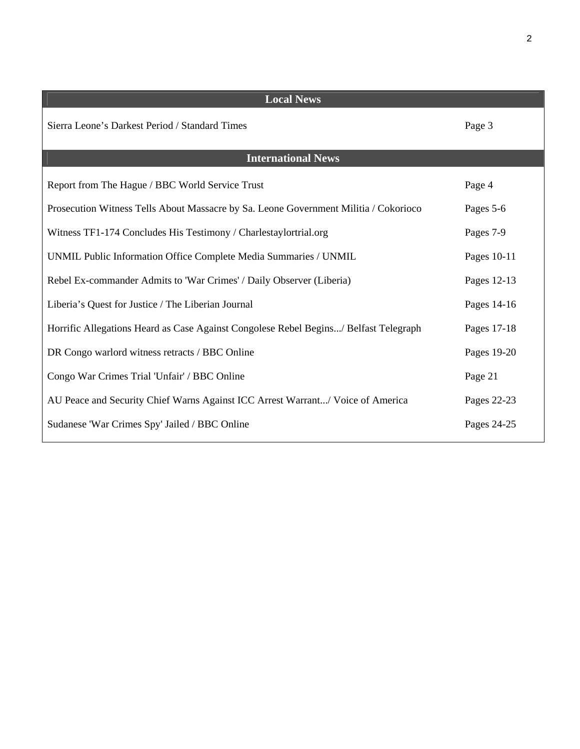| <b>Local News</b>                                                                    |             |
|--------------------------------------------------------------------------------------|-------------|
| Sierra Leone's Darkest Period / Standard Times                                       | Page 3      |
| <b>International News</b>                                                            |             |
| Report from The Hague / BBC World Service Trust                                      | Page 4      |
| Prosecution Witness Tells About Massacre by Sa. Leone Government Militia / Cokorioco | Pages 5-6   |
| Witness TF1-174 Concludes His Testimony / Charlestaylortrial.org                     | Pages 7-9   |
| UNMIL Public Information Office Complete Media Summaries / UNMIL                     | Pages 10-11 |
| Rebel Ex-commander Admits to 'War Crimes' / Daily Observer (Liberia)                 | Pages 12-13 |
| Liberia's Quest for Justice / The Liberian Journal                                   | Pages 14-16 |
| Horrific Allegations Heard as Case Against Congolese Rebel Begins/ Belfast Telegraph | Pages 17-18 |
| DR Congo warlord witness retracts / BBC Online                                       | Pages 19-20 |
| Congo War Crimes Trial 'Unfair' / BBC Online                                         | Page 21     |
| AU Peace and Security Chief Warns Against ICC Arrest Warrant/ Voice of America       | Pages 22-23 |
| Sudanese 'War Crimes Spy' Jailed / BBC Online                                        | Pages 24-25 |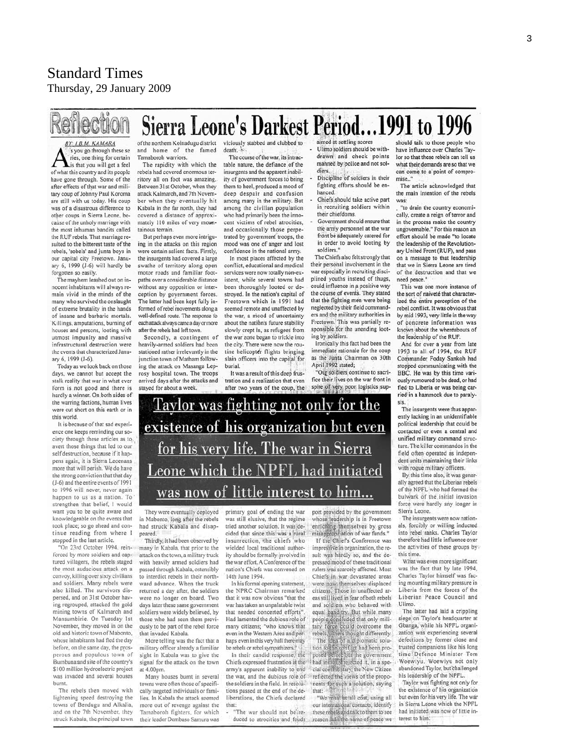# Sierra Leone's Darkest Period...1991 to 1996 Reflection

BY: I.B.M. KAMARA 's you go through these se ries, one thing for certain is that you will get a feel of what this country and its people have gone through. Some of the after effects of that war and military coup of Johnny Paul Koroma are still with us today. His coup was of a disastrous difference to other coups in Sierra Leone, because of the unholy marriage with the most inhuman bandits called the RUF rebels. That marriage resulted to the hitterest taste of the rebels, 'sobels' and junta boys in our capital city Freetown, January  $6, 1999$  (J-6) will hardly be forgotten so easily.

The mayhem leashed out on innocent inhabitants will always remain vivid in the minds of the many who survived the onslaught of extreme brutality in the hands of insane and barbaric mortals. Killings, amputations, burning of houses and persons, looting with utmost impunity and massive infrastructural destruction were the events that characterized January 6, 1999 (J-6).

Today as we look back on those days, we cannot but accept the stalk reality that war in what ever form is not good and there is hardly a winner. On both sides of the warring factions, human lives were cut short on this earth or in this world.

It is because of that sad experience one keeps reminding our society through these articles as to avert those things that led to our self destruction, because if it hanpens again, it is Sierra Leoenans more that will perish. We do have the strong conviction that that day (J-6) and the entire events of 1991 to 1996 will never, never again happen to us as a nation. To strengthen that belief, I would want you to be quite aware and knowledgeable on the events that took place; so go ahead and continue reading from where I stopped in the last article.

'On 23rd October 1994, reinforced by more soldiers and captured villagers, the rebels staged the most audacious attack on a convoy, killing over sixty civilians and soldiers. Many rebels were also killed. The survivors dispersed, and on 31st October having regrouped, attacked the gold mining towns of Kalmaroh and Mansumbirie. On Tuesday 1st November, they moved in on the old and historic town of Mabonto. whose inhabitants had fled the day before, on the same day, the prosperous and populous town of Bumbuna and site of the country's \$100 million hydroelectric project was invaded and several houses burnt.

The rebels then moved with lightening speed destroying the towns of Bendugu and Alkalia, and on the 7th November, they struck Kabala, the principal town

of the northern Koinadugu district and home of the famed Tamaboroh warriors.

The rapidity with which the rebels had covered enormous territory all on foot was amazing. Between 31st October, when they attack Kalmaroh, and 7th November when they eventually hit Kabala in the far north, they had covered a distance of approximately 110 miles of very mountainous terrain.

But perhaps even more intriguing in the attacks on this region were certain salient facts. Firstly, the insurgents had covered a large swathe of territory along open motor roads and familiar footpaths over a considerable distance without any opposition or interception by government forces. The latter had been kept fully informed of rebel movements along a well-defined route. The response to each attack always came a day or more after the rebels had left town.

Secondly, a contingent of heavily-armed soldiers had been stationed rather irrelevantly in the junction town of Matham following the attack on Masanga Leprosy hospital town. The troops arrived days after the attacks and stayed for about a week.

viciously stabbed and clubbed to death.

The course of the war, its intractable nature, the defiance of the insurgents and the apparent inability of government forces to bring them to heel, produced a mood of deep despair and confusion among many in the military. But among the civilian population who had primarily been the innocent victims of rebel atrocities, and occasionally those perpetrated by government troops, the mood was one of anger and lost confidence in the national army.

In most places affected by the conflict, educational and medical services were now totally non-existent, while several towns had been thoroughly looted or destroved. In the nation's capital of Freetown which in 1991 had seemed remote and unaffected by the war, a mood of uncertainty about the nation's future stability slowly crept in, as refugees from the war zone began to trickle into the city. There were now the routine helicopter flights bringing slain officers into the capital for burial.

It was a result of this deep frustration and a realization that even after two years of the coup, the

aimed at settling scores Ulimo soldiers should be withdrawn and check points manned by police and not soldiers

Discipline of soldiers in their fighting efforts should be enhanced. Chiefs should take active part

in recruiting soldiers within their chiefdoms Government should ensure that

the army personnel at the war front be adequately catered for in order to avoid looting by soldiers."

The Chiefs also felt strongly that their personal involvement in the war especially in recruiting disciplined youths instead of thugs, .<br>could influence in a positive way the course of events. They stated that the fighting men were being neglected by their field commanders and the military authorities in Freetown. This was partially responsible for the unending looting by soldiers.

Ironically this fact had been the immediate rationale for the coup as the Junta Chairman on 30th April 1992 stated;

"Our soldiers continue to sacrifice their lives on the war front in spite of very poor logistics sup-

should talk to those people who have influence over Charles Taylor so that these rebels can tell us what their demands are so that we can come to a point of compro-

mise." The article acknowledged that the main intention of the rebels was:

"to drain the country economically, create a reign of terror and in the process make the country ungovernable." For this reason an effort should be made "to locate the leadership of the Revolutionary United Front (RUF), and pass on a message to that leadership that we in Sierra Leone are tired of the destruction and that we need peace."

This was one more instance of the sort of naiveté that characterized the entire perception of the rebel conflict. It was obvious that by mid 1993, very little in the way of concrete information was known about the whereabouts of the leadership of the RUF.

And for over a year from late 1993 to all of 1994, the RUF Commander Foday Sankoh had stopped communicating with the BBC. He was by this time variously rumoured to be dead, or had fled to Liberia or was being carried in a hammock due to paralysis.

The insurgents were thus apparently lacking in an unidentifiable political leadership that could be contacted or even a central and unified military command structure. The killer commandos in the field often operated as independent units maintaining their links with rogue military officers.

By this time also, it was generally agreed that the Liberian rebels of the NPFL who had formed the bulwark of the initial invasion force were hardly any longer in Sierra Leone.

The insurgents were now nationals, forcibly or willing inducted into rebel ranks. Charles Taylor therefore had little influence over the activities of these groups by this time.

What was even more significant was the fact that by late 1994, Charles Taylor himself was facing mounting military pressure in Liberia from the forces of the Liberian Peace Council and Ulimo

The latter had laid a crippling siege on Taylor's headquarter at Gbanga, while his NPFL organization was experiencing several defections by former close and trusted companions like his long time Defence Minister Tom Woewiyu. Woewiyu not only abandoned Taylor, but challenged his leadership of the NPFL.

Taylor was fighting not only for the existence of his organization but even for his very life. The war in Sierra Leone which the NPFL had initiated was now of little interest to him.

Taylor was fighting not only for the existence of his organization but even for his very life. The war in Sierra Leone which the NPFL had initiated was now of little interest to him...

They were eventually deployed in Mabonto, long after the rebels had struck Kabala and disappeared.

Thirdly, it had been observed by many in Kabala, that prior to the attack on the town, a military truck with heavily armed soldiers had passed through Kabala, ostensibly to interdict rebels in their northward advance. When the truck returned a day after, the soldiers were no longer on board. Two days later these same government soldiers were widely believed, by those who had seen them previously to be part of the rebel force that invaded Kabala.

More telling was the fact that a military officer already a familiar sight in Kabala was to give the signal for the attack on the town at 4.00pm

Many houses burnt in several towns were often those of specifically targeted individuals or families. In Kabala the attack seemed more out of revenge against the Tamaboroh fighters, for which their leader Dembaso Samura was

primary goal of ending the war was still elusive, that the regime tried another solution. It was decided that since this was a rural insurrection, the chiefs who wielded local traditional authority should be formally involved in the war effort. A Conference of the nation's Chiefs was convened on 14th June 1994.

In his formal opening statement, the NPRC Chairman remarked that it was now obvious "that the war has taken an unpalatable twist that needed concerted efforts" Had lamented the dubious role of many citizens; "who knows that even in the Western Area and perhaps even in this very hall there may be rebels or rebel sympathizers." In their candid response, the Chiefs expressed frustration at the army's apparent inability to end the war, and the dubious role of the soldiers in the field. In resolutions passed at the end of the deliberations, the Chiefs declared that:

duced to atrocities and feuds reason. In the name of peace we

port provided by the government whose leadership is in Freetown enriching themselves by gross<br>misappropriation of war funds."

If the Chief's Conference was impressive in organization, the result was hardly so, and the depressed mood of these traditional rulers was scarcely affected. Most Chiefs in war devastated areas were now themselves displaced citizens. Those in unaffected areas still lived in fear of both rebels and soldiers who behaved with equal banditry. But while many people concluded that only miliproperties and overcome the<br>resistant force bould overcome the<br>rebels, others mought differently.<br>The idea of a diplomatic solu-<br>tion to the conflict had been pro-

posed hefore but the government. had initially rejected it, in a special commentary, the New Citizen reflected the views of the proponents for such a solution, saying that.

"We must at all cost, using all at: our international contacts, identify<br>"The war should not be re- these rebels and talk to them to see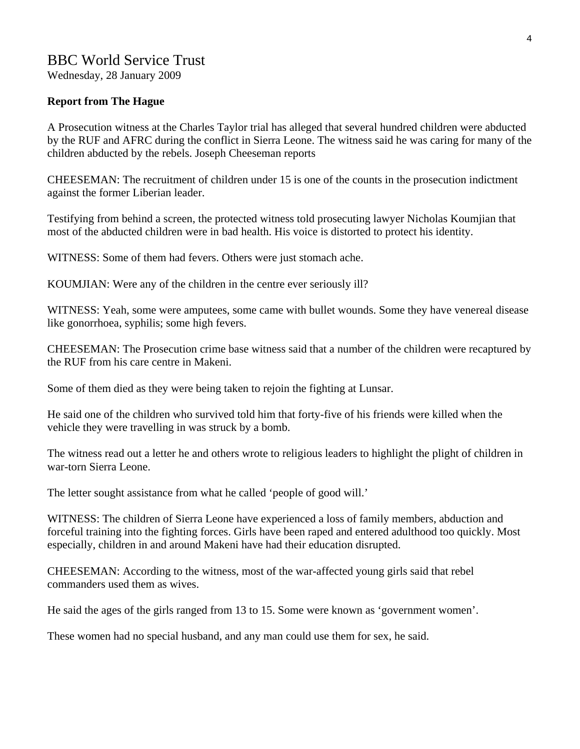# BBC World Service Trust

Wednesday, 28 January 2009

### **Report from The Hague**

A Prosecution witness at the Charles Taylor trial has alleged that several hundred children were abducted by the RUF and AFRC during the conflict in Sierra Leone. The witness said he was caring for many of the children abducted by the rebels. Joseph Cheeseman reports

CHEESEMAN: The recruitment of children under 15 is one of the counts in the prosecution indictment against the former Liberian leader.

Testifying from behind a screen, the protected witness told prosecuting lawyer Nicholas Koumjian that most of the abducted children were in bad health. His voice is distorted to protect his identity.

WITNESS: Some of them had fevers. Others were just stomach ache.

KOUMJIAN: Were any of the children in the centre ever seriously ill?

WITNESS: Yeah, some were amputees, some came with bullet wounds. Some they have venereal disease like gonorrhoea, syphilis; some high fevers.

CHEESEMAN: The Prosecution crime base witness said that a number of the children were recaptured by the RUF from his care centre in Makeni.

Some of them died as they were being taken to rejoin the fighting at Lunsar.

He said one of the children who survived told him that forty-five of his friends were killed when the vehicle they were travelling in was struck by a bomb.

The witness read out a letter he and others wrote to religious leaders to highlight the plight of children in war-torn Sierra Leone.

The letter sought assistance from what he called 'people of good will.'

WITNESS: The children of Sierra Leone have experienced a loss of family members, abduction and forceful training into the fighting forces. Girls have been raped and entered adulthood too quickly. Most especially, children in and around Makeni have had their education disrupted.

CHEESEMAN: According to the witness, most of the war-affected young girls said that rebel commanders used them as wives.

He said the ages of the girls ranged from 13 to 15. Some were known as 'government women'.

These women had no special husband, and any man could use them for sex, he said.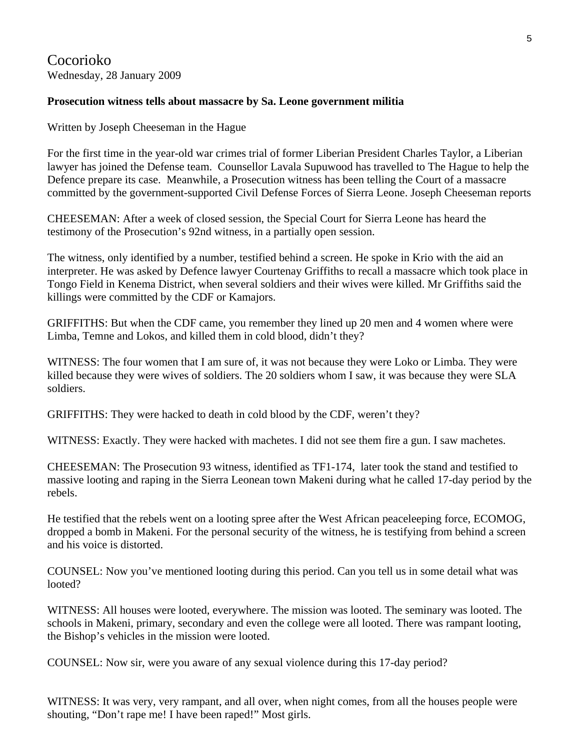# Cocorioko Wednesday, 28 January 2009

# **Prosecution witness tells about massacre by Sa. Leone government militia**

Written by Joseph Cheeseman in the Hague

For the first time in the year-old war crimes trial of former Liberian President Charles Taylor, a Liberian lawyer has joined the Defense team. Counsellor Lavala Supuwood has travelled to The Hague to help the Defence prepare its case. Meanwhile, a Prosecution witness has been telling the Court of a massacre committed by the government-supported Civil Defense Forces of Sierra Leone. Joseph Cheeseman reports

CHEESEMAN: After a week of closed session, the Special Court for Sierra Leone has heard the testimony of the Prosecution's 92nd witness, in a partially open session.

The witness, only identified by a number, testified behind a screen. He spoke in Krio with the aid an interpreter. He was asked by Defence lawyer Courtenay Griffiths to recall a massacre which took place in Tongo Field in Kenema District, when several soldiers and their wives were killed. Mr Griffiths said the killings were committed by the CDF or Kamajors.

GRIFFITHS: But when the CDF came, you remember they lined up 20 men and 4 women where were Limba, Temne and Lokos, and killed them in cold blood, didn't they?

WITNESS: The four women that I am sure of, it was not because they were Loko or Limba. They were killed because they were wives of soldiers. The 20 soldiers whom I saw, it was because they were SLA soldiers.

GRIFFITHS: They were hacked to death in cold blood by the CDF, weren't they?

WITNESS: Exactly. They were hacked with machetes. I did not see them fire a gun. I saw machetes.

CHEESEMAN: The Prosecution 93 witness, identified as TF1-174, later took the stand and testified to massive looting and raping in the Sierra Leonean town Makeni during what he called 17-day period by the rebels.

He testified that the rebels went on a looting spree after the West African peaceleeping force, ECOMOG, dropped a bomb in Makeni. For the personal security of the witness, he is testifying from behind a screen and his voice is distorted.

COUNSEL: Now you've mentioned looting during this period. Can you tell us in some detail what was looted?

WITNESS: All houses were looted, everywhere. The mission was looted. The seminary was looted. The schools in Makeni, primary, secondary and even the college were all looted. There was rampant looting, the Bishop's vehicles in the mission were looted.

COUNSEL: Now sir, were you aware of any sexual violence during this 17-day period?

WITNESS: It was very, very rampant, and all over, when night comes, from all the houses people were shouting, "Don't rape me! I have been raped!" Most girls.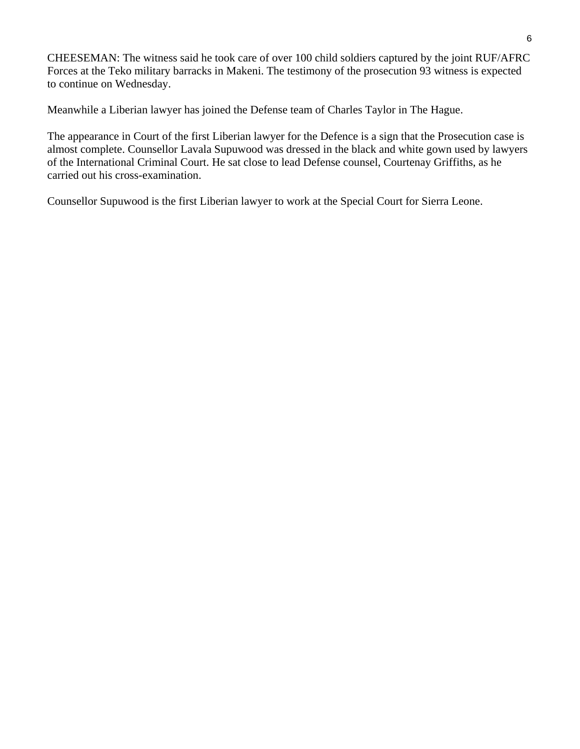CHEESEMAN: The witness said he took care of over 100 child soldiers captured by the joint RUF/AFRC Forces at the Teko military barracks in Makeni. The testimony of the prosecution 93 witness is expected to continue on Wednesday.

Meanwhile a Liberian lawyer has joined the Defense team of Charles Taylor in The Hague.

The appearance in Court of the first Liberian lawyer for the Defence is a sign that the Prosecution case is almost complete. Counsellor Lavala Supuwood was dressed in the black and white gown used by lawyers of the International Criminal Court. He sat close to lead Defense counsel, Courtenay Griffiths, as he carried out his cross-examination.

Counsellor Supuwood is the first Liberian lawyer to work at the Special Court for Sierra Leone.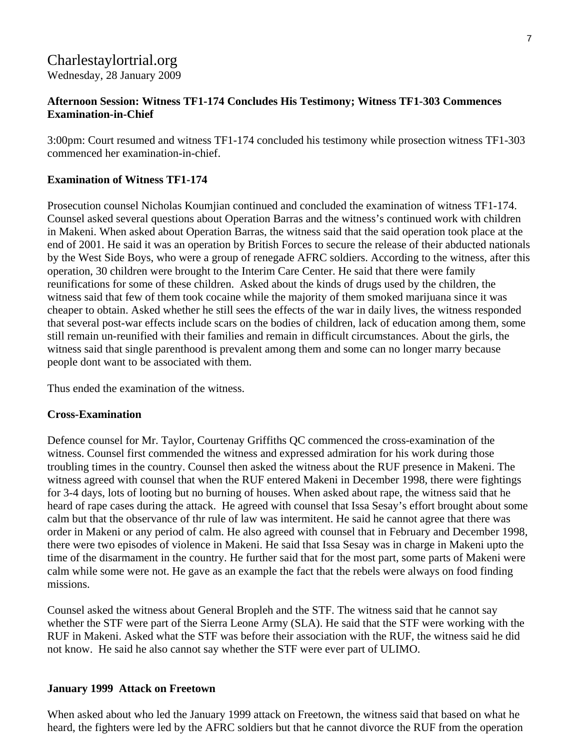# Charlestaylortrial.org Wednesday, 28 January 2009

# **Afternoon Session: Witness TF1-174 Concludes His Testimony; Witness TF1-303 Commences Examination-in-Chief**

3:00pm: Court resumed and witness TF1-174 concluded his testimony while prosection witness TF1-303 commenced her examination-in-chief.

# **Examination of Witness TF1-174**

Prosecution counsel Nicholas Koumjian continued and concluded the examination of witness TF1-174. Counsel asked several questions about Operation Barras and the witness's continued work with children in Makeni. When asked about Operation Barras, the witness said that the said operation took place at the end of 2001. He said it was an operation by British Forces to secure the release of their abducted nationals by the West Side Boys, who were a group of renegade AFRC soldiers. According to the witness, after this operation, 30 children were brought to the Interim Care Center. He said that there were family reunifications for some of these children. Asked about the kinds of drugs used by the children, the witness said that few of them took cocaine while the majority of them smoked marijuana since it was cheaper to obtain. Asked whether he still sees the effects of the war in daily lives, the witness responded that several post-war effects include scars on the bodies of children, lack of education among them, some still remain un-reunified with their families and remain in difficult circumstances. About the girls, the witness said that single parenthood is prevalent among them and some can no longer marry because people dont want to be associated with them.

Thus ended the examination of the witness.

#### **Cross-Examination**

Defence counsel for Mr. Taylor, Courtenay Griffiths QC commenced the cross-examination of the witness. Counsel first commended the witness and expressed admiration for his work during those troubling times in the country. Counsel then asked the witness about the RUF presence in Makeni. The witness agreed with counsel that when the RUF entered Makeni in December 1998, there were fightings for 3-4 days, lots of looting but no burning of houses. When asked about rape, the witness said that he heard of rape cases during the attack. He agreed with counsel that Issa Sesay's effort brought about some calm but that the observance of thr rule of law was intermitent. He said he cannot agree that there was order in Makeni or any period of calm. He also agreed with counsel that in February and December 1998, there were two episodes of violence in Makeni. He said that Issa Sesay was in charge in Makeni upto the time of the disarmament in the country. He further said that for the most part, some parts of Makeni were calm while some were not. He gave as an example the fact that the rebels were always on food finding missions.

Counsel asked the witness about General Bropleh and the STF. The witness said that he cannot say whether the STF were part of the Sierra Leone Army (SLA). He said that the STF were working with the RUF in Makeni. Asked what the STF was before their association with the RUF, the witness said he did not know. He said he also cannot say whether the STF were ever part of ULIMO.

#### **January 1999 Attack on Freetown**

When asked about who led the January 1999 attack on Freetown, the witness said that based on what he heard, the fighters were led by the AFRC soldiers but that he cannot divorce the RUF from the operation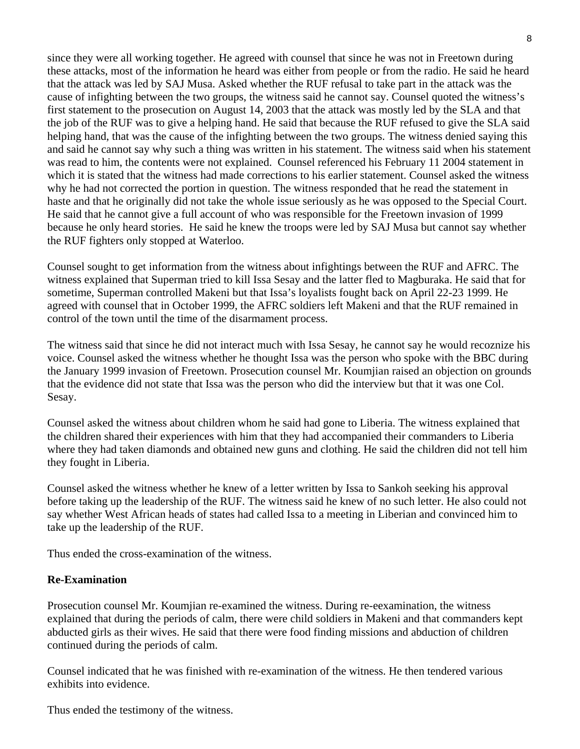since they were all working together. He agreed with counsel that since he was not in Freetown during these attacks, most of the information he heard was either from people or from the radio. He said he heard that the attack was led by SAJ Musa. Asked whether the RUF refusal to take part in the attack was the cause of infighting between the two groups, the witness said he cannot say. Counsel quoted the witness's first statement to the prosecution on August 14, 2003 that the attack was mostly led by the SLA and that the job of the RUF was to give a helping hand. He said that because the RUF refused to give the SLA said helping hand, that was the cause of the infighting between the two groups. The witness denied saying this and said he cannot say why such a thing was written in his statement. The witness said when his statement was read to him, the contents were not explained. Counsel referenced his February 11 2004 statement in which it is stated that the witness had made corrections to his earlier statement. Counsel asked the witness why he had not corrected the portion in question. The witness responded that he read the statement in haste and that he originally did not take the whole issue seriously as he was opposed to the Special Court. He said that he cannot give a full account of who was responsible for the Freetown invasion of 1999 because he only heard stories. He said he knew the troops were led by SAJ Musa but cannot say whether the RUF fighters only stopped at Waterloo.

Counsel sought to get information from the witness about infightings between the RUF and AFRC. The witness explained that Superman tried to kill Issa Sesay and the latter fled to Magburaka. He said that for sometime, Superman controlled Makeni but that Issa's loyalists fought back on April 22-23 1999. He agreed with counsel that in October 1999, the AFRC soldiers left Makeni and that the RUF remained in control of the town until the time of the disarmament process.

The witness said that since he did not interact much with Issa Sesay, he cannot say he would recoznize his voice. Counsel asked the witness whether he thought Issa was the person who spoke with the BBC during the January 1999 invasion of Freetown. Prosecution counsel Mr. Koumjian raised an objection on grounds that the evidence did not state that Issa was the person who did the interview but that it was one Col. Sesay.

Counsel asked the witness about children whom he said had gone to Liberia. The witness explained that the children shared their experiences with him that they had accompanied their commanders to Liberia where they had taken diamonds and obtained new guns and clothing. He said the children did not tell him they fought in Liberia.

Counsel asked the witness whether he knew of a letter written by Issa to Sankoh seeking his approval before taking up the leadership of the RUF. The witness said he knew of no such letter. He also could not say whether West African heads of states had called Issa to a meeting in Liberian and convinced him to take up the leadership of the RUF.

Thus ended the cross-examination of the witness.

# **Re-Examination**

Prosecution counsel Mr. Koumjian re-examined the witness. During re-eexamination, the witness explained that during the periods of calm, there were child soldiers in Makeni and that commanders kept abducted girls as their wives. He said that there were food finding missions and abduction of children continued during the periods of calm.

Counsel indicated that he was finished with re-examination of the witness. He then tendered various exhibits into evidence.

Thus ended the testimony of the witness.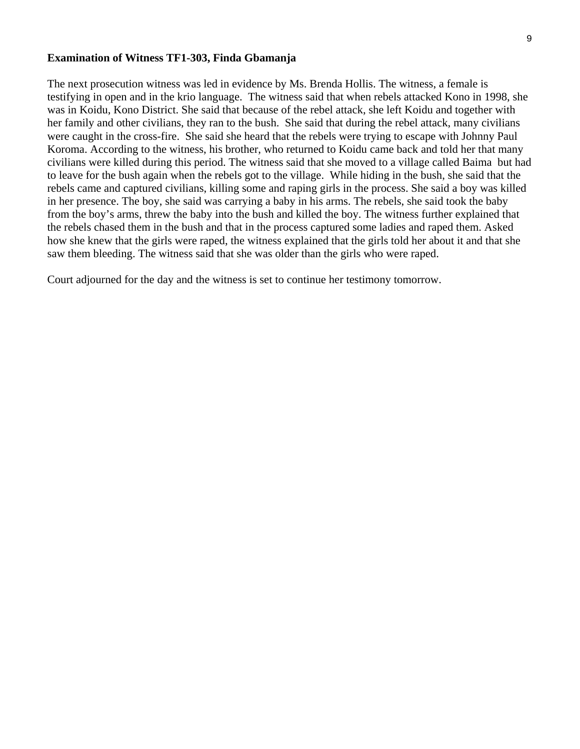#### 9

#### **Examination of Witness TF1-303, Finda Gbamanja**

The next prosecution witness was led in evidence by Ms. Brenda Hollis. The witness, a female is testifying in open and in the krio language. The witness said that when rebels attacked Kono in 1998, she was in Koidu, Kono District. She said that because of the rebel attack, she left Koidu and together with her family and other civilians, they ran to the bush. She said that during the rebel attack, many civilians were caught in the cross-fire. She said she heard that the rebels were trying to escape with Johnny Paul Koroma. According to the witness, his brother, who returned to Koidu came back and told her that many civilians were killed during this period. The witness said that she moved to a village called Baima but had to leave for the bush again when the rebels got to the village. While hiding in the bush, she said that the rebels came and captured civilians, killing some and raping girls in the process. She said a boy was killed in her presence. The boy, she said was carrying a baby in his arms. The rebels, she said took the baby from the boy's arms, threw the baby into the bush and killed the boy. The witness further explained that the rebels chased them in the bush and that in the process captured some ladies and raped them. Asked how she knew that the girls were raped, the witness explained that the girls told her about it and that she saw them bleeding. The witness said that she was older than the girls who were raped.

Court adjourned for the day and the witness is set to continue her testimony tomorrow.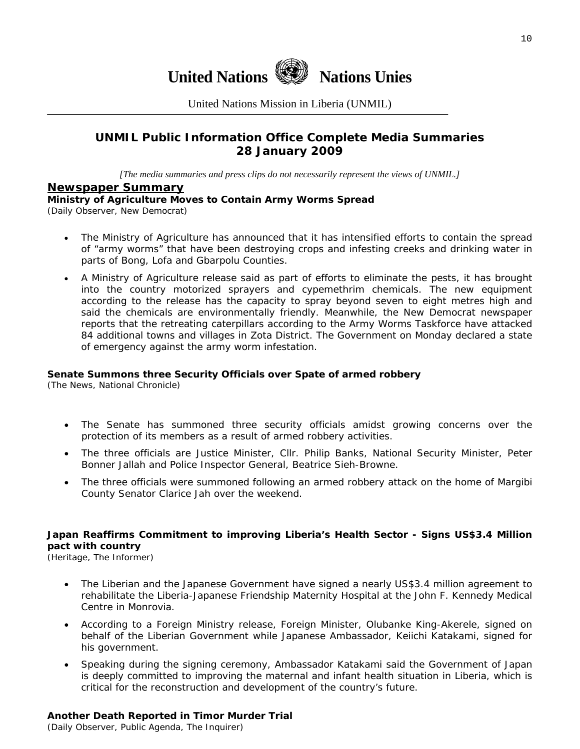

United Nations Mission in Liberia (UNMIL)

# **UNMIL Public Information Office Complete Media Summaries 28 January 2009**

*[The media summaries and press clips do not necessarily represent the views of UNMIL.]* 

#### **Newspaper Summary**

#### **Ministry of Agriculture Moves to Contain Army Worms Spread**

(Daily Observer, New Democrat)

- The Ministry of Agriculture has announced that it has intensified efforts to contain the spread of "army worms" that have been destroying crops and infesting creeks and drinking water in parts of Bong, Lofa and Gbarpolu Counties.
- A Ministry of Agriculture release said as part of efforts to eliminate the pests, it has brought into the country motorized sprayers and cypemethrim chemicals. The new equipment according to the release has the capacity to spray beyond seven to eight metres high and said the chemicals are environmentally friendly. Meanwhile, the New Democrat newspaper reports that the retreating caterpillars according to the Army Worms Taskforce have attacked 84 additional towns and villages in Zota District. The Government on Monday declared a state of emergency against the army worm infestation.

#### **Senate Summons three Security Officials over Spate of armed robbery**

(The News, National Chronicle)

- The Senate has summoned three security officials amidst growing concerns over the protection of its members as a result of armed robbery activities.
- The three officials are Justice Minister, Cllr. Philip Banks, National Security Minister, Peter Bonner Jallah and Police Inspector General, Beatrice Sieh-Browne.
- The three officials were summoned following an armed robbery attack on the home of Margibi County Senator Clarice Jah over the weekend.

### **Japan Reaffirms Commitment to improving Liberia's Health Sector - Signs US\$3.4 Million pact with country**

(Heritage, The Informer)

- The Liberian and the Japanese Government have signed a nearly US\$3.4 million agreement to rehabilitate the Liberia-Japanese Friendship Maternity Hospital at the John F. Kennedy Medical Centre in Monrovia.
- According to a Foreign Ministry release, Foreign Minister, Olubanke King-Akerele, signed on behalf of the Liberian Government while Japanese Ambassador, Keiichi Katakami, signed for his government.
- Speaking during the signing ceremony, Ambassador Katakami said the Government of Japan is deeply committed to improving the maternal and infant health situation in Liberia, which is critical for the reconstruction and development of the country's future.

#### **Another Death Reported in Timor Murder Trial**

(Daily Observer, Public Agenda, The Inquirer)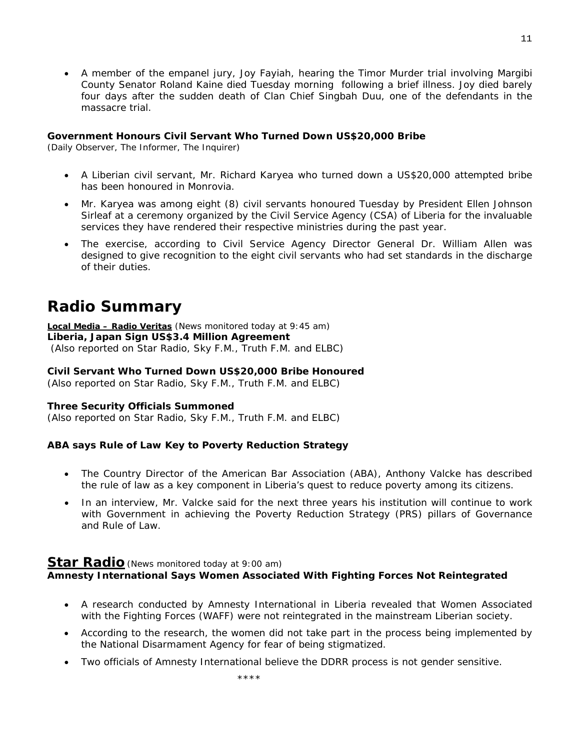• A member of the empanel jury, Joy Fayiah, hearing the Timor Murder trial involving Margibi County Senator Roland Kaine died Tuesday morning following a brief illness. Joy died barely four days after the sudden death of Clan Chief Singbah Duu, one of the defendants in the massacre trial.

#### **Government Honours Civil Servant Who Turned Down US\$20,000 Bribe**

(Daily Observer, The Informer, The Inquirer)

- A Liberian civil servant, Mr. Richard Karyea who turned down a US\$20,000 attempted bribe has been honoured in Monrovia.
- Mr. Karyea was among eight (8) civil servants honoured Tuesday by President Ellen Johnson Sirleaf at a ceremony organized by the Civil Service Agency (CSA) of Liberia for the invaluable services they have rendered their respective ministries during the past year.
- The exercise, according to Civil Service Agency Director General Dr. William Allen was designed to give recognition to the eight civil servants who had set standards in the discharge of their duties.

# **Radio Summary**

**Local Media – Radio Veritas** *(News monitored today at 9:45 am)* **Liberia, Japan Sign US\$3.4 Million Agreement** (*Also reported on Star Radio, Sky F.M., Truth F.M. and ELBC*)

#### **Civil Servant Who Turned Down US\$20,000 Bribe Honoured**

(*Also reported on Star Radio, Sky F.M., Truth F.M. and ELBC*)

#### **Three Security Officials Summoned**

(*Also reported on Star Radio, Sky F.M., Truth F.M. and ELBC*)

#### **ABA says Rule of Law Key to Poverty Reduction Strategy**

- The Country Director of the American Bar Association (ABA), Anthony Valcke has described the rule of law as a key component in Liberia's quest to reduce poverty among its citizens.
- In an interview, Mr. Valcke said for the next three years his institution will continue to work with Government in achieving the Poverty Reduction Strategy (PRS) pillars of Governance and Rule of Law.

### **Star Radio***(News monitored today at 9:00 am)*

**Amnesty International Says Women Associated With Fighting Forces Not Reintegrated** 

- A research conducted by Amnesty International in Liberia revealed that Women Associated with the Fighting Forces (WAFF) were not reintegrated in the mainstream Liberian society.
- According to the research, the women did not take part in the process being implemented by the National Disarmament Agency for fear of being stigmatized.
- Two officials of Amnesty International believe the DDRR process is not gender sensitive.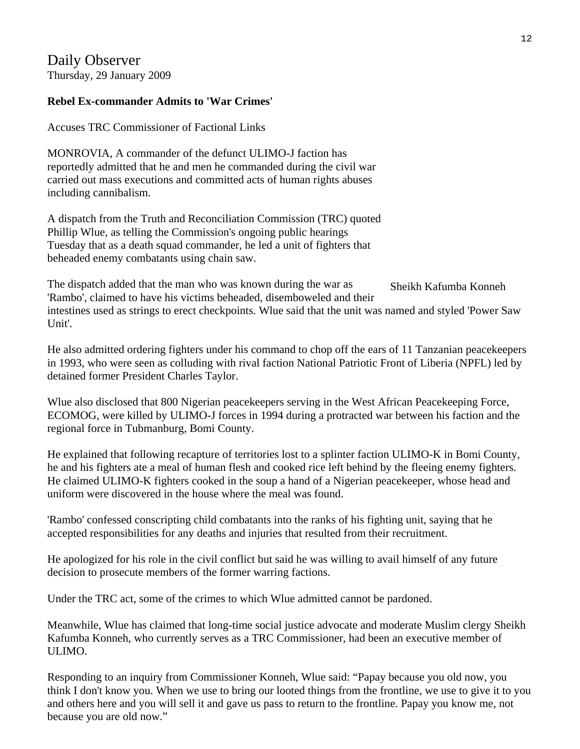# Daily Observer Thursday, 29 January 2009

# **Rebel Ex-commander Admits to 'War Crimes'**

Accuses TRC Commissioner of Factional Links

MONROVIA, A commander of the defunct ULIMO-J faction has reportedly admitted that he and men he commanded during the civil war carried out mass executions and committed acts of human rights abuses including cannibalism.

A dispatch from the Truth and Reconciliation Commission (TRC) quoted Phillip Wlue, as telling the Commission's ongoing public hearings Tuesday that as a death squad commander, he led a unit of fighters that beheaded enemy combatants using chain saw.

The dispatch added that the man who was known during the war as 'Rambo', claimed to have his victims beheaded, disemboweled and their intestines used as strings to erect checkpoints. Wlue said that the unit was named and styled 'Power Saw Unit'. Sheikh Kafumba Konneh

He also admitted ordering fighters under his command to chop off the ears of 11 Tanzanian peacekeepers in 1993, who were seen as colluding with rival faction National Patriotic Front of Liberia (NPFL) led by detained former President Charles Taylor.

Wlue also disclosed that 800 Nigerian peacekeepers serving in the West African Peacekeeping Force, ECOMOG, were killed by ULIMO-J forces in 1994 during a protracted war between his faction and the regional force in Tubmanburg, Bomi County.

He explained that following recapture of territories lost to a splinter faction ULIMO-K in Bomi County, he and his fighters ate a meal of human flesh and cooked rice left behind by the fleeing enemy fighters. He claimed ULIMO-K fighters cooked in the soup a hand of a Nigerian peacekeeper, whose head and uniform were discovered in the house where the meal was found.

'Rambo' confessed conscripting child combatants into the ranks of his fighting unit, saying that he accepted responsibilities for any deaths and injuries that resulted from their recruitment.

He apologized for his role in the civil conflict but said he was willing to avail himself of any future decision to prosecute members of the former warring factions.

Under the TRC act, some of the crimes to which Wlue admitted cannot be pardoned.

Meanwhile, Wlue has claimed that long-time social justice advocate and moderate Muslim clergy Sheikh Kafumba Konneh, who currently serves as a TRC Commissioner, had been an executive member of ULIMO.

Responding to an inquiry from Commissioner Konneh, Wlue said: "Papay because you old now, you think I don't know you. When we use to bring our looted things from the frontline, we use to give it to you and others here and you will sell it and gave us pass to return to the frontline. Papay you know me, not because you are old now."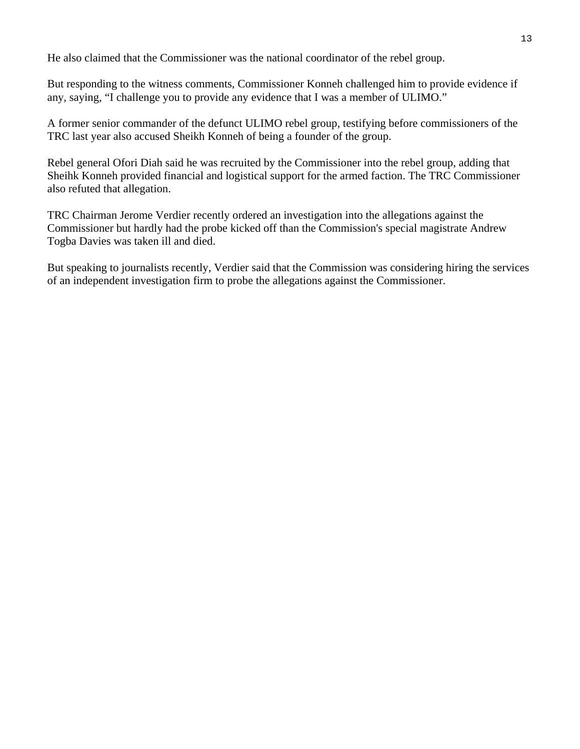He also claimed that the Commissioner was the national coordinator of the rebel group.

But responding to the witness comments, Commissioner Konneh challenged him to provide evidence if any, saying, "I challenge you to provide any evidence that I was a member of ULIMO."

A former senior commander of the defunct ULIMO rebel group, testifying before commissioners of the TRC last year also accused Sheikh Konneh of being a founder of the group.

Rebel general Ofori Diah said he was recruited by the Commissioner into the rebel group, adding that Sheihk Konneh provided financial and logistical support for the armed faction. The TRC Commissioner also refuted that allegation.

TRC Chairman Jerome Verdier recently ordered an investigation into the allegations against the Commissioner but hardly had the probe kicked off than the Commission's special magistrate Andrew Togba Davies was taken ill and died.

But speaking to journalists recently, Verdier said that the Commission was considering hiring the services of an independent investigation firm to probe the allegations against the Commissioner.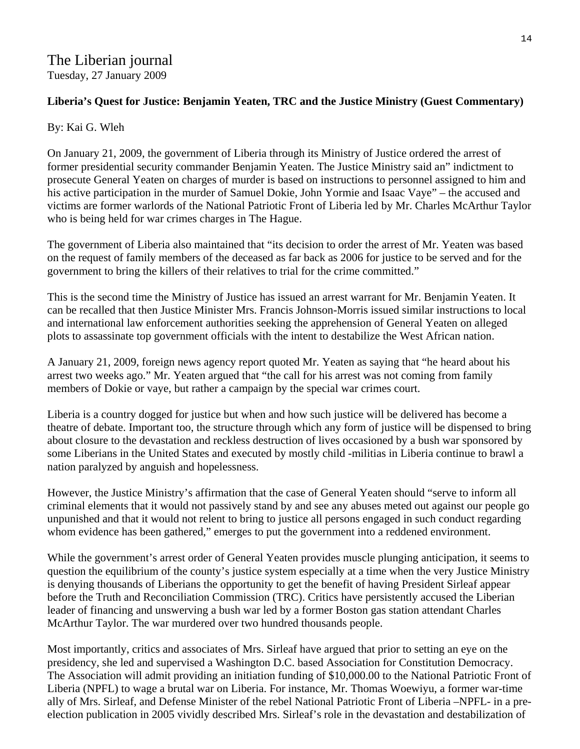# **Liberia's Quest for Justice: Benjamin Yeaten, TRC and the Justice Ministry (Guest Commentary)**

# By: Kai G. Wleh

On January 21, 2009, the government of Liberia through its Ministry of Justice ordered the arrest of former presidential security commander Benjamin Yeaten. The Justice Ministry said an" indictment to prosecute General Yeaten on charges of murder is based on instructions to personnel assigned to him and his active participation in the murder of Samuel Dokie, John Yormie and Isaac Vaye" – the accused and victims are former warlords of the National Patriotic Front of Liberia led by Mr. Charles McArthur Taylor who is being held for war crimes charges in The Hague.

The government of Liberia also maintained that "its decision to order the arrest of Mr. Yeaten was based on the request of family members of the deceased as far back as 2006 for justice to be served and for the government to bring the killers of their relatives to trial for the crime committed."

This is the second time the Ministry of Justice has issued an arrest warrant for Mr. Benjamin Yeaten. It can be recalled that then Justice Minister Mrs. Francis Johnson-Morris issued similar instructions to local and international law enforcement authorities seeking the apprehension of General Yeaten on alleged plots to assassinate top government officials with the intent to destabilize the West African nation.

A January 21, 2009, foreign news agency report quoted Mr. Yeaten as saying that "he heard about his arrest two weeks ago." Mr. Yeaten argued that "the call for his arrest was not coming from family members of Dokie or vaye, but rather a campaign by the special war crimes court.

Liberia is a country dogged for justice but when and how such justice will be delivered has become a theatre of debate. Important too, the structure through which any form of justice will be dispensed to bring about closure to the devastation and reckless destruction of lives occasioned by a bush war sponsored by some Liberians in the United States and executed by mostly child -militias in Liberia continue to brawl a nation paralyzed by anguish and hopelessness.

However, the Justice Ministry's affirmation that the case of General Yeaten should "serve to inform all criminal elements that it would not passively stand by and see any abuses meted out against our people go unpunished and that it would not relent to bring to justice all persons engaged in such conduct regarding whom evidence has been gathered," emerges to put the government into a reddened environment.

While the government's arrest order of General Yeaten provides muscle plunging anticipation, it seems to question the equilibrium of the county's justice system especially at a time when the very Justice Ministry is denying thousands of Liberians the opportunity to get the benefit of having President Sirleaf appear before the Truth and Reconciliation Commission (TRC). Critics have persistently accused the Liberian leader of financing and unswerving a bush war led by a former Boston gas station attendant Charles McArthur Taylor. The war murdered over two hundred thousands people.

Most importantly, critics and associates of Mrs. Sirleaf have argued that prior to setting an eye on the presidency, she led and supervised a Washington D.C. based Association for Constitution Democracy. The Association will admit providing an initiation funding of \$10,000.00 to the National Patriotic Front of Liberia (NPFL) to wage a brutal war on Liberia. For instance, Mr. Thomas Woewiyu, a former war-time ally of Mrs. Sirleaf, and Defense Minister of the rebel National Patriotic Front of Liberia –NPFL- in a preelection publication in 2005 vividly described Mrs. Sirleaf's role in the devastation and destabilization of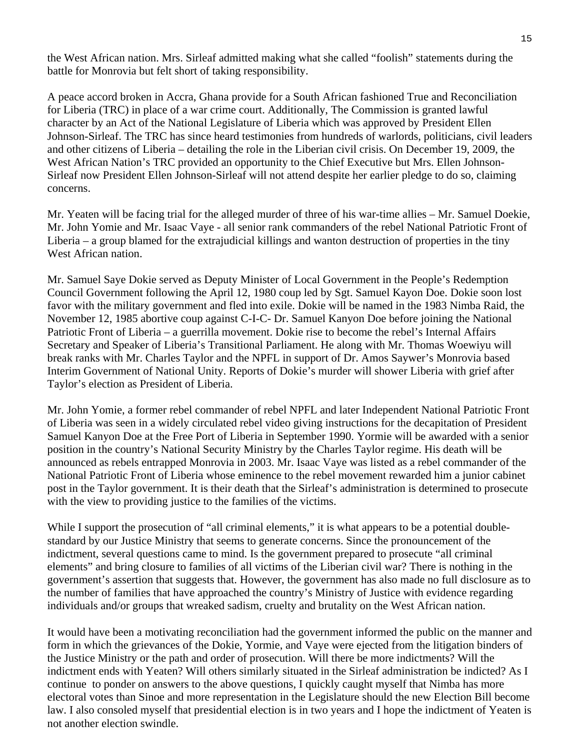the West African nation. Mrs. Sirleaf admitted making what she called "foolish" statements during the battle for Monrovia but felt short of taking responsibility.

A peace accord broken in Accra, Ghana provide for a South African fashioned True and Reconciliation for Liberia (TRC) in place of a war crime court. Additionally, The Commission is granted lawful character by an Act of the National Legislature of Liberia which was approved by President Ellen Johnson-Sirleaf. The TRC has since heard testimonies from hundreds of warlords, politicians, civil leaders and other citizens of Liberia – detailing the role in the Liberian civil crisis. On December 19, 2009, the West African Nation's TRC provided an opportunity to the Chief Executive but Mrs. Ellen Johnson-Sirleaf now President Ellen Johnson-Sirleaf will not attend despite her earlier pledge to do so, claiming concerns.

Mr. Yeaten will be facing trial for the alleged murder of three of his war-time allies – Mr. Samuel Doekie, Mr. John Yomie and Mr. Isaac Vaye - all senior rank commanders of the rebel National Patriotic Front of Liberia – a group blamed for the extrajudicial killings and wanton destruction of properties in the tiny West African nation.

Mr. Samuel Saye Dokie served as Deputy Minister of Local Government in the People's Redemption Council Government following the April 12, 1980 coup led by Sgt. Samuel Kayon Doe. Dokie soon lost favor with the military government and fled into exile. Dokie will be named in the 1983 Nimba Raid, the November 12, 1985 abortive coup against C-I-C- Dr. Samuel Kanyon Doe before joining the National Patriotic Front of Liberia – a guerrilla movement. Dokie rise to become the rebel's Internal Affairs Secretary and Speaker of Liberia's Transitional Parliament. He along with Mr. Thomas Woewiyu will break ranks with Mr. Charles Taylor and the NPFL in support of Dr. Amos Saywer's Monrovia based Interim Government of National Unity. Reports of Dokie's murder will shower Liberia with grief after Taylor's election as President of Liberia.

Mr. John Yomie, a former rebel commander of rebel NPFL and later Independent National Patriotic Front of Liberia was seen in a widely circulated rebel video giving instructions for the decapitation of President Samuel Kanyon Doe at the Free Port of Liberia in September 1990. Yormie will be awarded with a senior position in the country's National Security Ministry by the Charles Taylor regime. His death will be announced as rebels entrapped Monrovia in 2003. Mr. Isaac Vaye was listed as a rebel commander of the National Patriotic Front of Liberia whose eminence to the rebel movement rewarded him a junior cabinet post in the Taylor government. It is their death that the Sirleaf's administration is determined to prosecute with the view to providing justice to the families of the victims.

While I support the prosecution of "all criminal elements," it is what appears to be a potential doublestandard by our Justice Ministry that seems to generate concerns. Since the pronouncement of the indictment, several questions came to mind. Is the government prepared to prosecute "all criminal elements" and bring closure to families of all victims of the Liberian civil war? There is nothing in the government's assertion that suggests that. However, the government has also made no full disclosure as to the number of families that have approached the country's Ministry of Justice with evidence regarding individuals and/or groups that wreaked sadism, cruelty and brutality on the West African nation.

It would have been a motivating reconciliation had the government informed the public on the manner and form in which the grievances of the Dokie, Yormie, and Vaye were ejected from the litigation binders of the Justice Ministry or the path and order of prosecution. Will there be more indictments? Will the indictment ends with Yeaten? Will others similarly situated in the Sirleaf administration be indicted? As I continue to ponder on answers to the above questions, I quickly caught myself that Nimba has more electoral votes than Sinoe and more representation in the Legislature should the new Election Bill become law. I also consoled myself that presidential election is in two years and I hope the indictment of Yeaten is not another election swindle.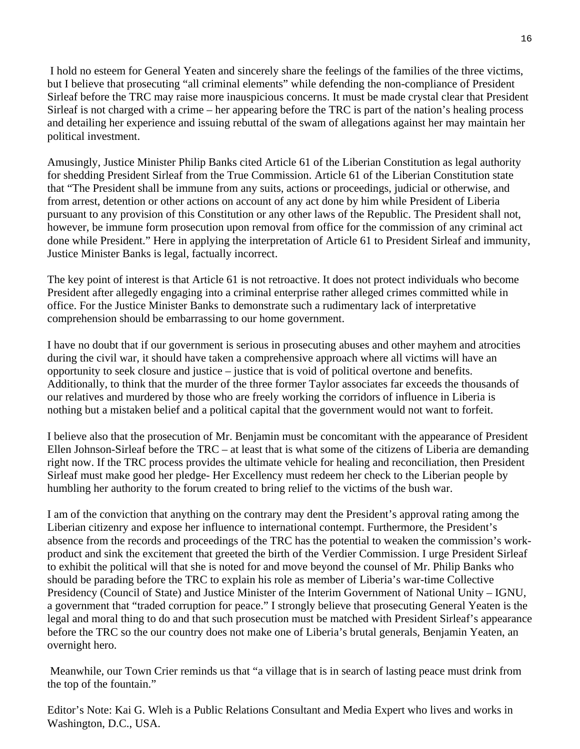I hold no esteem for General Yeaten and sincerely share the feelings of the families of the three victims, but I believe that prosecuting "all criminal elements" while defending the non-compliance of President Sirleaf before the TRC may raise more inauspicious concerns. It must be made crystal clear that President Sirleaf is not charged with a crime – her appearing before the TRC is part of the nation's healing process and detailing her experience and issuing rebuttal of the swam of allegations against her may maintain her political investment.

Amusingly, Justice Minister Philip Banks cited Article 61 of the Liberian Constitution as legal authority for shedding President Sirleaf from the True Commission. Article 61 of the Liberian Constitution state that "The President shall be immune from any suits, actions or proceedings, judicial or otherwise, and from arrest, detention or other actions on account of any act done by him while President of Liberia pursuant to any provision of this Constitution or any other laws of the Republic. The President shall not, however, be immune form prosecution upon removal from office for the commission of any criminal act done while President." Here in applying the interpretation of Article 61 to President Sirleaf and immunity, Justice Minister Banks is legal, factually incorrect.

The key point of interest is that Article 61 is not retroactive. It does not protect individuals who become President after allegedly engaging into a criminal enterprise rather alleged crimes committed while in office. For the Justice Minister Banks to demonstrate such a rudimentary lack of interpretative comprehension should be embarrassing to our home government.

I have no doubt that if our government is serious in prosecuting abuses and other mayhem and atrocities during the civil war, it should have taken a comprehensive approach where all victims will have an opportunity to seek closure and justice – justice that is void of political overtone and benefits. Additionally, to think that the murder of the three former Taylor associates far exceeds the thousands of our relatives and murdered by those who are freely working the corridors of influence in Liberia is nothing but a mistaken belief and a political capital that the government would not want to forfeit.

I believe also that the prosecution of Mr. Benjamin must be concomitant with the appearance of President Ellen Johnson-Sirleaf before the TRC – at least that is what some of the citizens of Liberia are demanding right now. If the TRC process provides the ultimate vehicle for healing and reconciliation, then President Sirleaf must make good her pledge- Her Excellency must redeem her check to the Liberian people by humbling her authority to the forum created to bring relief to the victims of the bush war.

I am of the conviction that anything on the contrary may dent the President's approval rating among the Liberian citizenry and expose her influence to international contempt. Furthermore, the President's absence from the records and proceedings of the TRC has the potential to weaken the commission's workproduct and sink the excitement that greeted the birth of the Verdier Commission. I urge President Sirleaf to exhibit the political will that she is noted for and move beyond the counsel of Mr. Philip Banks who should be parading before the TRC to explain his role as member of Liberia's war-time Collective Presidency (Council of State) and Justice Minister of the Interim Government of National Unity – IGNU, a government that "traded corruption for peace." I strongly believe that prosecuting General Yeaten is the legal and moral thing to do and that such prosecution must be matched with President Sirleaf's appearance before the TRC so the our country does not make one of Liberia's brutal generals, Benjamin Yeaten, an overnight hero.

 Meanwhile, our Town Crier reminds us that "a village that is in search of lasting peace must drink from the top of the fountain."

Editor's Note: Kai G. Wleh is a Public Relations Consultant and Media Expert who lives and works in Washington, D.C., USA.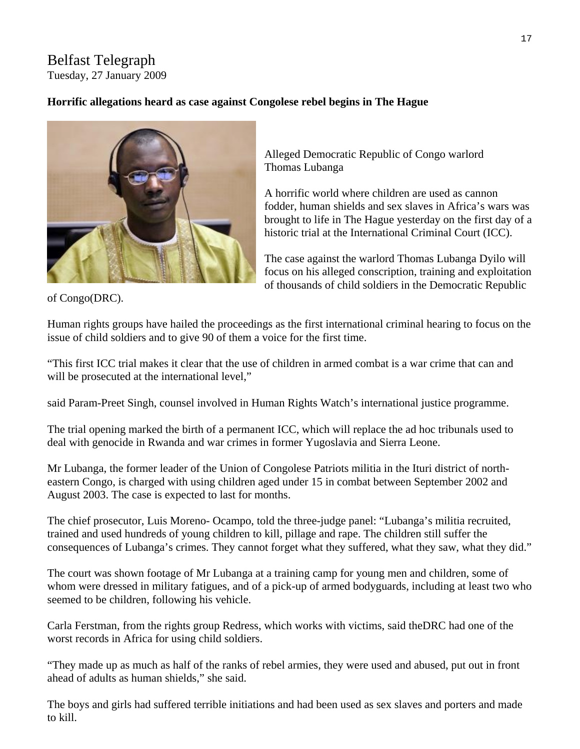# Belfast Telegraph Tuesday, 27 January 2009

# **Horrific allegations heard as case against Congolese rebel begins in The Hague**



Alleged Democratic Republic of Congo warlord Thomas Lubanga

A horrific world where children are used as cannon fodder, human shields and sex slaves in Africa's wars was brought to life in The Hague yesterday on the first day of a historic trial at the International Criminal Court (ICC).

The case against the warlord Thomas Lubanga Dyilo will focus on his alleged conscription, training and exploitation of thousands of child soldiers in the Democratic Republic

of Congo(DRC).

Human rights groups have hailed the proceedings as the first international criminal hearing to focus on the issue of child soldiers and to give 90 of them a voice for the first time.

"This first ICC trial makes it clear that the use of children in armed combat is a war crime that can and will be prosecuted at the international level,"

said Param-Preet Singh, counsel involved in Human Rights Watch's international justice programme.

The trial opening marked the birth of a permanent ICC, which will replace the ad hoc tribunals used to deal with genocide in Rwanda and war crimes in former Yugoslavia and Sierra Leone.

Mr Lubanga, the former leader of the Union of Congolese Patriots militia in the Ituri district of northeastern Congo, is charged with using children aged under 15 in combat between September 2002 and August 2003. The case is expected to last for months.

The chief prosecutor, Luis Moreno- Ocampo, told the three-judge panel: "Lubanga's militia recruited, trained and used hundreds of young children to kill, pillage and rape. The children still suffer the consequences of Lubanga's crimes. They cannot forget what they suffered, what they saw, what they did."

The court was shown footage of Mr Lubanga at a training camp for young men and children, some of whom were dressed in military fatigues, and of a pick-up of armed bodyguards, including at least two who seemed to be children, following his vehicle.

Carla Ferstman, from the rights group Redress, which works with victims, said theDRC had one of the worst records in Africa for using child soldiers.

"They made up as much as half of the ranks of rebel armies, they were used and abused, put out in front ahead of adults as human shields," she said.

The boys and girls had suffered terrible initiations and had been used as sex slaves and porters and made to kill.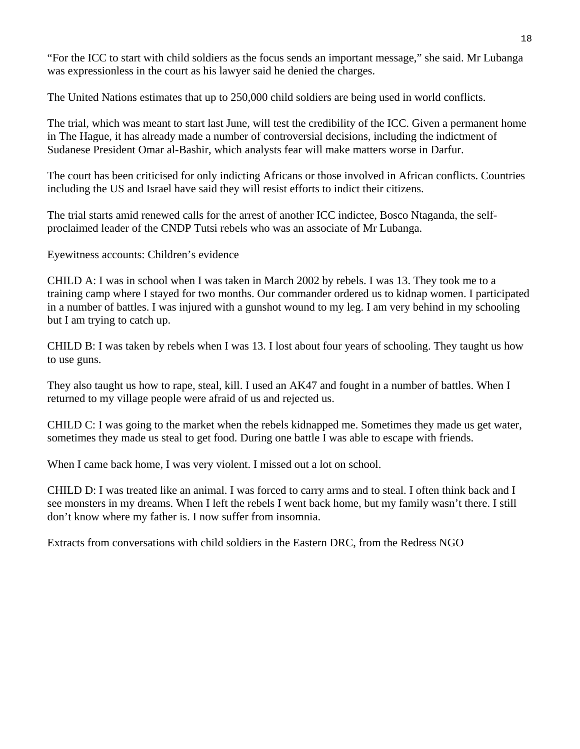"For the ICC to start with child soldiers as the focus sends an important message," she said. Mr Lubanga was expressionless in the court as his lawyer said he denied the charges.

The United Nations estimates that up to 250,000 child soldiers are being used in world conflicts.

The trial, which was meant to start last June, will test the credibility of the ICC. Given a permanent home in The Hague, it has already made a number of controversial decisions, including the indictment of Sudanese President Omar al-Bashir, which analysts fear will make matters worse in Darfur.

The court has been criticised for only indicting Africans or those involved in African conflicts. Countries including the US and Israel have said they will resist efforts to indict their citizens.

The trial starts amid renewed calls for the arrest of another ICC indictee, Bosco Ntaganda, the selfproclaimed leader of the CNDP Tutsi rebels who was an associate of Mr Lubanga.

Eyewitness accounts: Children's evidence

CHILD A: I was in school when I was taken in March 2002 by rebels. I was 13. They took me to a training camp where I stayed for two months. Our commander ordered us to kidnap women. I participated in a number of battles. I was injured with a gunshot wound to my leg. I am very behind in my schooling but I am trying to catch up.

CHILD B: I was taken by rebels when I was 13. I lost about four years of schooling. They taught us how to use guns.

They also taught us how to rape, steal, kill. I used an AK47 and fought in a number of battles. When I returned to my village people were afraid of us and rejected us.

CHILD C: I was going to the market when the rebels kidnapped me. Sometimes they made us get water, sometimes they made us steal to get food. During one battle I was able to escape with friends.

When I came back home, I was very violent. I missed out a lot on school.

CHILD D: I was treated like an animal. I was forced to carry arms and to steal. I often think back and I see monsters in my dreams. When I left the rebels I went back home, but my family wasn't there. I still don't know where my father is. I now suffer from insomnia.

Extracts from conversations with child soldiers in the Eastern DRC, from the Redress NGO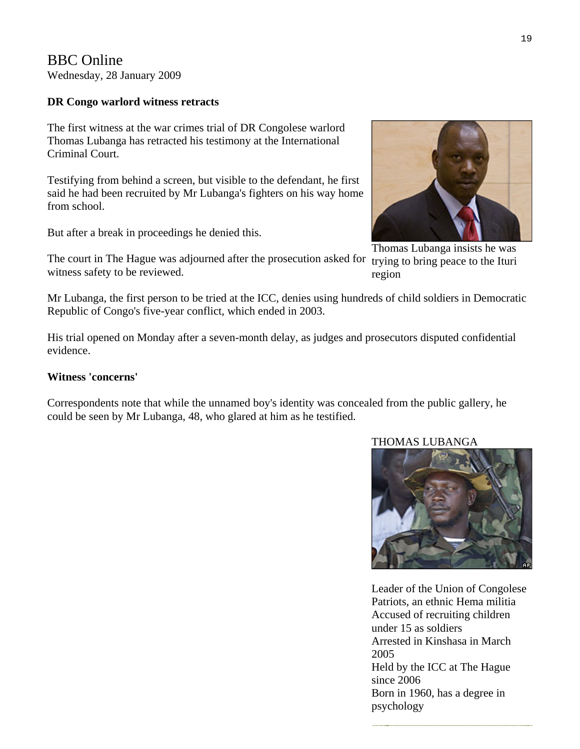BBC Online Wednesday, 28 January 2009

### **DR Congo warlord witness retracts**

The first witness at the war crimes trial of DR Congolese warlord Thomas Lubanga has retracted his testimony at the International Criminal Court.

Testifying from behind a screen, but visible to the defendant, he first said he had been recruited by Mr Lubanga's fighters on his way home from school.

But after a break in proceedings he denied this.

The court in The Hague was adjourned after the prosecution asked for trying to bring peace to the Ituri witness safety to be reviewed.

Mr Lubanga, the first person to be tried at the ICC, denies using hundreds of child soldiers in Democratic Republic of Congo's five-year conflict, which ended in 2003.

His trial opened on Monday after a seven-month delay, as judges and prosecutors disputed confidential evidence.

#### **Witness 'concerns'**

Correspondents note that while the unnamed boy's identity was concealed from the public gallery, he could be seen by Mr Lubanga, 48, who glared at him as he testified.

# Leader of the Union of Congolese Patriots, an ethnic Hema militia Accused of recruiting children under 15 as soldiers Arrested in Kinshasa in March 2005 Held by the ICC at The Hague since 2006 Born in 1960, has a degree in

psychology



Thomas Lubanga insists he was

region

#### THOMAS LUBANGA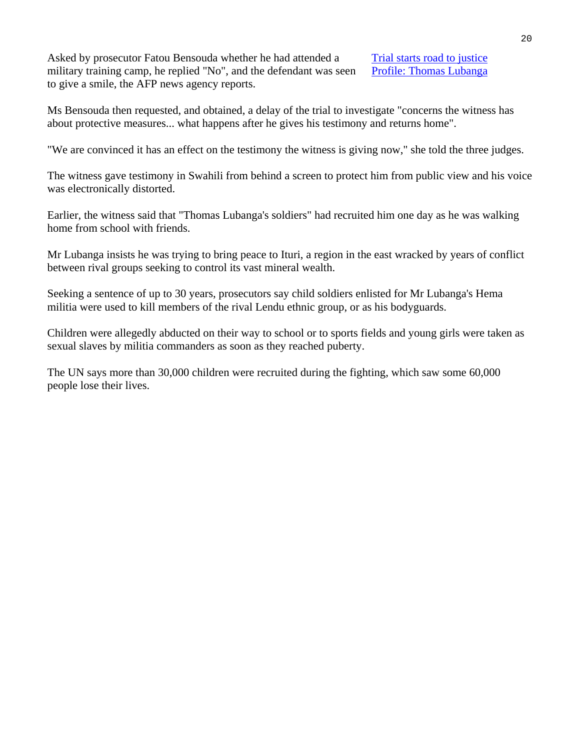Asked by prosecutor Fatou Bensouda whether he had attended a military training camp, he replied "No", and the defendant was seen to give a smile, the AFP news agency reports.

[Trial starts road to justice](http://news.bbc.co.uk/2/hi/africa/7850357.stm) [Profile: Thomas Lubanga](http://news.bbc.co.uk/2/hi/africa/6131516.stm)

Ms Bensouda then requested, and obtained, a delay of the trial to investigate "concerns the witness has about protective measures... what happens after he gives his testimony and returns home".

"We are convinced it has an effect on the testimony the witness is giving now," she told the three judges.

The witness gave testimony in Swahili from behind a screen to protect him from public view and his voice was electronically distorted.

Earlier, the witness said that "Thomas Lubanga's soldiers" had recruited him one day as he was walking home from school with friends.

Mr Lubanga insists he was trying to bring peace to Ituri, a region in the east wracked by years of conflict between rival groups seeking to control its vast mineral wealth.

Seeking a sentence of up to 30 years, prosecutors say child soldiers enlisted for Mr Lubanga's Hema militia were used to kill members of the rival Lendu ethnic group, or as his bodyguards.

Children were allegedly abducted on their way to school or to sports fields and young girls were taken as sexual slaves by militia commanders as soon as they reached puberty.

The UN says more than 30,000 children were recruited during the fighting, which saw some 60,000 people lose their lives.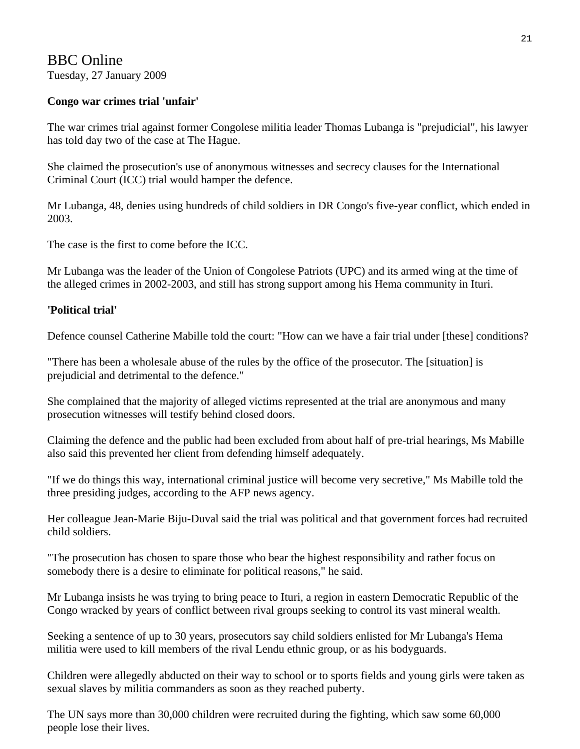# BBC Online Tuesday, 27 January 2009

# **Congo war crimes trial 'unfair'**

The war crimes trial against former Congolese militia leader Thomas Lubanga is "prejudicial", his lawyer has told day two of the case at The Hague.

She claimed the prosecution's use of anonymous witnesses and secrecy clauses for the International Criminal Court (ICC) trial would hamper the defence.

Mr Lubanga, 48, denies using hundreds of child soldiers in DR Congo's five-year conflict, which ended in 2003.

The case is the first to come before the ICC.

Mr Lubanga was the leader of the Union of Congolese Patriots (UPC) and its armed wing at the time of the alleged crimes in 2002-2003, and still has strong support among his Hema community in Ituri.

### **'Political trial'**

Defence counsel Catherine Mabille told the court: "How can we have a fair trial under [these] conditions?

"There has been a wholesale abuse of the rules by the office of the prosecutor. The [situation] is prejudicial and detrimental to the defence."

She complained that the majority of alleged victims represented at the trial are anonymous and many prosecution witnesses will testify behind closed doors.

Claiming the defence and the public had been excluded from about half of pre-trial hearings, Ms Mabille also said this prevented her client from defending himself adequately.

"If we do things this way, international criminal justice will become very secretive," Ms Mabille told the three presiding judges, according to the AFP news agency.

Her colleague Jean-Marie Biju-Duval said the trial was political and that government forces had recruited child soldiers.

"The prosecution has chosen to spare those who bear the highest responsibility and rather focus on somebody there is a desire to eliminate for political reasons," he said.

Mr Lubanga insists he was trying to bring peace to Ituri, a region in eastern Democratic Republic of the Congo wracked by years of conflict between rival groups seeking to control its vast mineral wealth.

Seeking a sentence of up to 30 years, prosecutors say child soldiers enlisted for Mr Lubanga's Hema militia were used to kill members of the rival Lendu ethnic group, or as his bodyguards.

Children were allegedly abducted on their way to school or to sports fields and young girls were taken as sexual slaves by militia commanders as soon as they reached puberty.

The UN says more than 30,000 children were recruited during the fighting, which saw some 60,000 people lose their lives.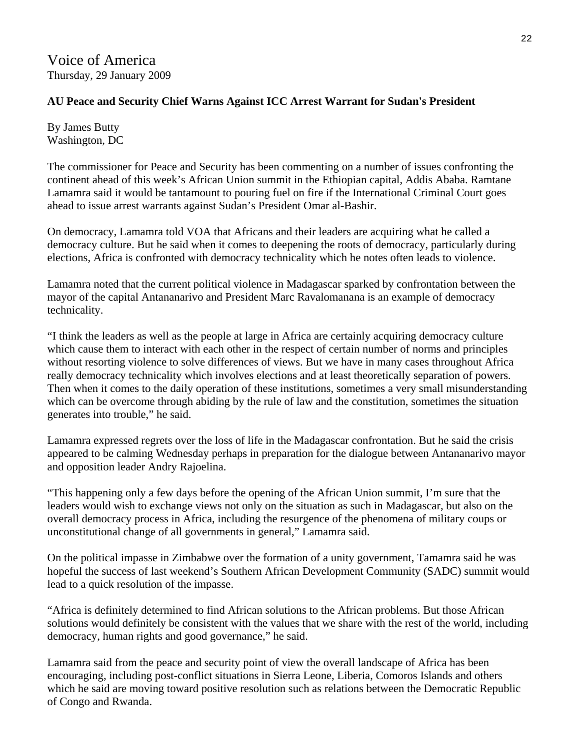# **AU Peace and Security Chief Warns Against ICC Arrest Warrant for Sudan's President**

By James Butty Washington, DC

The commissioner for Peace and Security has been commenting on a number of issues confronting the continent ahead of this week's African Union summit in the Ethiopian capital, Addis Ababa. Ramtane Lamamra said it would be tantamount to pouring fuel on fire if the International Criminal Court goes ahead to issue arrest warrants against Sudan's President Omar al-Bashir.

On democracy, Lamamra told VOA that Africans and their leaders are acquiring what he called a democracy culture. But he said when it comes to deepening the roots of democracy, particularly during elections, Africa is confronted with democracy technicality which he notes often leads to violence.

Lamamra noted that the current political violence in Madagascar sparked by confrontation between the mayor of the capital Antananarivo and President Marc Ravalomanana is an example of democracy technicality.

"I think the leaders as well as the people at large in Africa are certainly acquiring democracy culture which cause them to interact with each other in the respect of certain number of norms and principles without resorting violence to solve differences of views. But we have in many cases throughout Africa really democracy technicality which involves elections and at least theoretically separation of powers. Then when it comes to the daily operation of these institutions, sometimes a very small misunderstanding which can be overcome through abiding by the rule of law and the constitution, sometimes the situation generates into trouble," he said.

Lamamra expressed regrets over the loss of life in the Madagascar confrontation. But he said the crisis appeared to be calming Wednesday perhaps in preparation for the dialogue between Antananarivo mayor and opposition leader Andry Rajoelina.

"This happening only a few days before the opening of the African Union summit, I'm sure that the leaders would wish to exchange views not only on the situation as such in Madagascar, but also on the overall democracy process in Africa, including the resurgence of the phenomena of military coups or unconstitutional change of all governments in general," Lamamra said.

On the political impasse in Zimbabwe over the formation of a unity government, Tamamra said he was hopeful the success of last weekend's Southern African Development Community (SADC) summit would lead to a quick resolution of the impasse.

"Africa is definitely determined to find African solutions to the African problems. But those African solutions would definitely be consistent with the values that we share with the rest of the world, including democracy, human rights and good governance," he said.

Lamamra said from the peace and security point of view the overall landscape of Africa has been encouraging, including post-conflict situations in Sierra Leone, Liberia, Comoros Islands and others which he said are moving toward positive resolution such as relations between the Democratic Republic of Congo and Rwanda.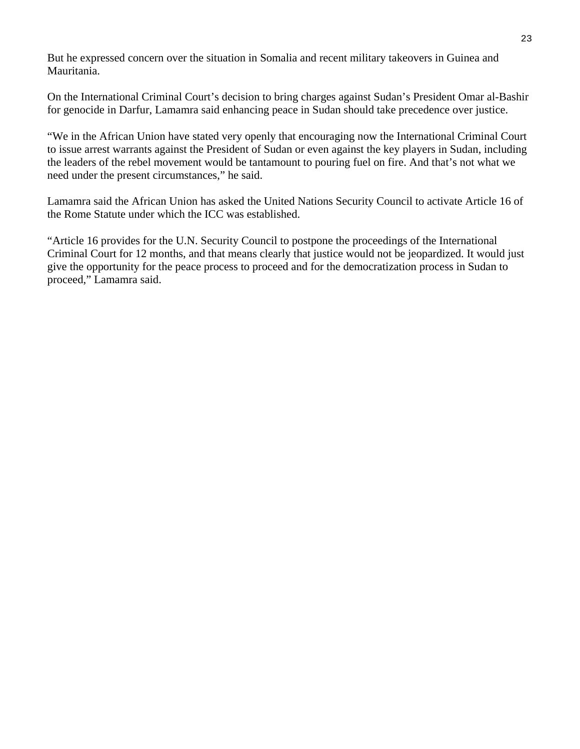But he expressed concern over the situation in Somalia and recent military takeovers in Guinea and Mauritania.

On the International Criminal Court's decision to bring charges against Sudan's President Omar al-Bashir for genocide in Darfur, Lamamra said enhancing peace in Sudan should take precedence over justice.

"We in the African Union have stated very openly that encouraging now the International Criminal Court to issue arrest warrants against the President of Sudan or even against the key players in Sudan, including the leaders of the rebel movement would be tantamount to pouring fuel on fire. And that's not what we need under the present circumstances," he said.

Lamamra said the African Union has asked the United Nations Security Council to activate Article 16 of the Rome Statute under which the ICC was established.

"Article 16 provides for the U.N. Security Council to postpone the proceedings of the International Criminal Court for 12 months, and that means clearly that justice would not be jeopardized. It would just give the opportunity for the peace process to proceed and for the democratization process in Sudan to proceed," Lamamra said.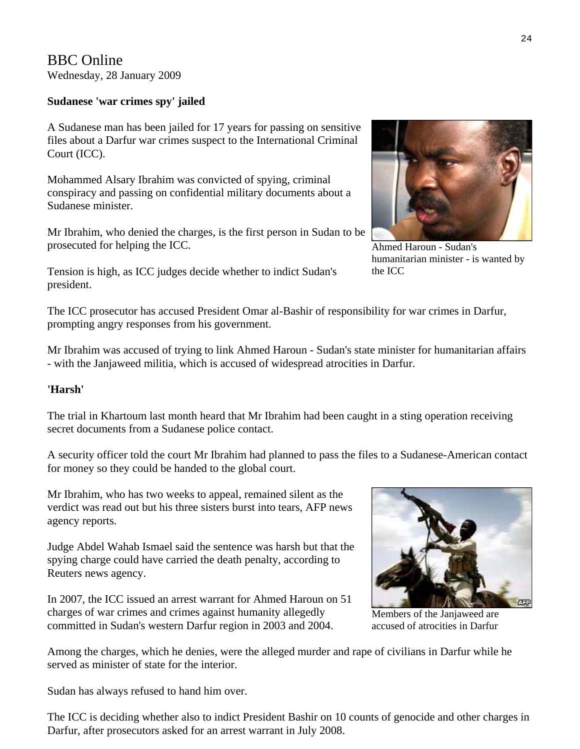BBC Online Wednesday, 28 January 2009

# **Sudanese 'war crimes spy' jailed**

A Sudanese man has been jailed for 17 years for passing on sensitive files about a Darfur war crimes suspect to the International Criminal Court (ICC).

Mohammed Alsary Ibrahim was convicted of spying, criminal conspiracy and passing on confidential military documents about a Sudanese minister.

Mr Ibrahim, who denied the charges, is the first person in Sudan to be prosecuted for helping the ICC.

Tension is high, as ICC judges decide whether to indict Sudan's president.

Ahmed Haroun - Sudan's humanitarian minister - is wanted by

the ICC

The ICC prosecutor has accused President Omar al-Bashir of responsibility for war crimes in Darfur, prompting angry responses from his government.

Mr Ibrahim was accused of trying to link Ahmed Haroun - Sudan's state minister for humanitarian affairs - with the Janjaweed militia, which is accused of widespread atrocities in Darfur.

#### **'Harsh'**

The trial in Khartoum last month heard that Mr Ibrahim had been caught in a sting operation receiving secret documents from a Sudanese police contact.

A security officer told the court Mr Ibrahim had planned to pass the files to a Sudanese-American contact for money so they could be handed to the global court.

Mr Ibrahim, who has two weeks to appeal, remained silent as the verdict was read out but his three sisters burst into tears, AFP news agency reports.

Judge Abdel Wahab Ismael said the sentence was harsh but that the spying charge could have carried the death penalty, according to Reuters news agency.

In 2007, the ICC issued an arrest warrant for Ahmed Haroun on 51 charges of war crimes and crimes against humanity allegedly committed in Sudan's western Darfur region in 2003 and 2004.

Members of the Janjaweed are accused of atrocities in Darfur

Among the charges, which he denies, were the alleged murder and rape of civilians in Darfur while he served as minister of state for the interior.

Sudan has always refused to hand him over.

The ICC is deciding whether also to indict President Bashir on 10 counts of genocide and other charges in Darfur, after prosecutors asked for an arrest warrant in July 2008.